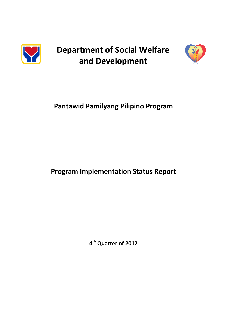

**Department of Social Welfare and Development**



# **Pantawid Pamilyang Pilipino Program**

# **Program Implementation Status Report**

**4 th Quarter of 2012**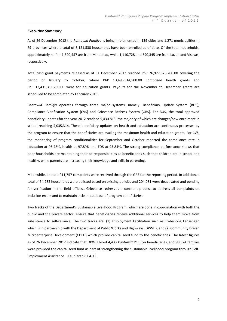#### *Executive Summary*

As of 26 December 2012 the *Pantawid Pamilya* is being implemented in 139 cities and 1,271 municipalities in 79 provinces where a total of 3,121,530 households have been enrolled as of date. Of the total households, approximately half or 1,320,457 are from Mindanao, while 1,110,728 and 690,345 are from Luzon and Visayas, respectively.

Total cash grant payments released as of 31 December 2012 reached PhP 26,927,826,200.00 covering the period of January to October, where PhP 13,496,514,500.00 comprised health grants and PhP 13,431,311,700.00 were for education grants. Payouts for the November to December grants are scheduled to be completed by February 2013.

*Pantawid Pamilya* operates through three major systems, namely: Beneficiary Update System (BUS), Compliance Verification System (CVS) and Grievance Redress System (GRS). For BUS, the total approved beneficiary updates for the year 2012 reached 5,430,813; the majority of which are changes/new enrolment in school reaching 4,035,314. These beneficiary updates on health and education are continuous processes by the program to ensure that the beneficiaries are availing the maximum health and education grants. For CVS, the monitoring of program conditionalities for September and October reported the compliance rate in education at 95.78%, health at 97.89% and FDS at 95.84%. The strong compliance performance shows that poor households are maintaining their co-responsibilities as beneficiaries such that children are in school and healthy, while parents are increasing their knowledge and skills in parenting.

Meanwhile, a total of 11,757 complaints were received through the GRS for the reporting period. In addition, a total of 54,282 households were delisted based on existing policies and 204,081 were deactivated and pending for verification in the field offices.. Grievance redress is a constant process to address all complaints on inclusion errors and to maintain a clean database of program beneficiaries.

Two tracks of the Department's Sustainable Livelihood Program, which are done in coordination with both the public and the private sector, ensure that beneficiaries receive additional services to help them move from subsistence to self-reliance. The two tracks are: (1) Employment Facilitation such as Trabahong Lansangan which is in partnership with the Department of Public Works and Highways (DPWH), and (2) Community Driven Microenterprise Development (CDED) which provide capital seed fund to the beneficiaries. The latest figures as of 26 December 2012 indicate that DPWH hired 4,433 *Pantawid Pamilya* beneficiaries, and 98,324 families were provided the capital seed fund as part of strengthening the sustainable livelihood program through Self-Employment Assistance – Kaunlaran (SEA-K).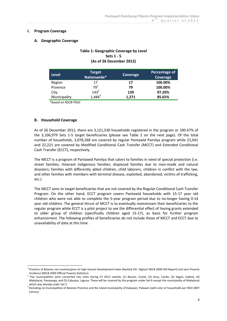#### **I. Program Coverage**

#### **A. Geographic Coverage**

## **Table 1: Geographic Coverage by Level Sets 1 - 5 (As of 26 December 2012)**

| <b>Level</b> | <b>Target</b><br>Nationwide* | Coverage | Percentage of<br>Coverage |
|--------------|------------------------------|----------|---------------------------|
| Region       | 17                           | 17       | 100.00%                   |
| Province     | 79 <sup>1</sup>              | 79       | 100.00%                   |
| City         | $143^2$                      | 139      | 97.20%                    |
| Municipality | $1,484^3$                    | 1,271    | 85.65%                    |

\**based on NSCB-PSGC*

#### **B. Household Coverage**

<u>.</u>

As of 26 December 2012, there are 3,121,530 households registered in the program or 100.47% of the 3,106,979 Sets 1-5 target beneficiaries (please see Table 2 on the next page). Of the total number of households, 3,078,268 are covered by regular Pantawid Pamilya program while 21,041 and 22,221 are covered by Modified Conditional Cash Transfer (MCCT) and Extended Conditional Cash Transfer (ECCT), respectively.

The MCCT is a program of Pantawid Pamilya that caters to families in need of special protection (i.e. street families; itinerant indigenous families; displaced families due to man-made and natural disasters; families with differently abled children, child laborers, children in conflict with the law; and other families with members with terminal disease, exploited, abandoned, victims of trafficking, etc.)

The MCCT aims to target beneficiaries that are not covered by the Regular Conditional Cash Transfer Program. On the other hand, ECCT program covers Pantawid households with 15-17 year old children who were not able to complete the 5-year program period due to no-longer having 0-14 year old children. The general thrust of MCCT is to eventually mainstream their beneficiaries to the regular program while ECCT is a pilot project to see the differential effect of having grants extended to older group of children (specifically children aged 15-17), as basis for further program enhancement. The following profiles of beneficiaries do not include those of MCCT and ECCT due to unavailability of data at this time.

<sup>&</sup>lt;sup>1</sup> Province of Batanes not covered given its high Human Development Index (Ranked 5th Highest NSCB 2000 HDI Report) and zero Poverty Incidence (NSCB 2009 Official Poverty Statistics)

<sup>&</sup>lt;sup>2</sup> Five municipalities were converted into cities during CY 2012 namely: (1) Bacoor, Cavite, (2) Imus, Cavite, (3) Ilagan, Isabela, (4) Mabalacat, Pampanga, and (5) Cabuyao, Laguna. These will be covered by the program under Set 6 except the municipality of Mabalacat which was already under Set 5.

<sup>&</sup>lt;sup>3</sup> Excluding six municipalities of Batanes Province and the island municipality of Kalayaan, Palawan (with only 12 households per NSO 2007 Census)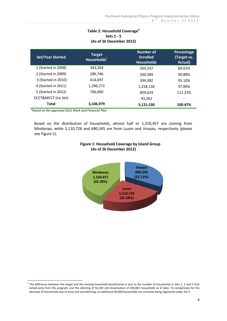# **Table 2: Household Coverage<sup>4</sup> Sets 1 - 5 (As of 26 December 2012)**

| <b>Set/Year Started</b> | Target<br>Households <sup>*</sup> | Number of<br><b>Enrolled</b><br><b>Households</b> | Percentage<br>(Target vs.<br>Actual) |
|-------------------------|-----------------------------------|---------------------------------------------------|--------------------------------------|
| 1 (Started in 2008)     | 343,264                           | 305,537                                           | 89.01%                               |
| 2 (Started in 2009)     | 286,746                           | 260,589                                           | 90.88%                               |
| 3 (Started in 2010)     | 414.697                           | 394.382                                           | 95.10%                               |
| 4 (Started in 2011)     | 1,296,272                         | 1,258,136                                         | 97.06%                               |
| 5 (Started in 2012)     | 766,000                           | 859,624                                           | 112.22%                              |
| ECCT&MCCT (no Set)      |                                   | 43,262                                            |                                      |
| Total                   | 3,106,979                         | 3,121,530                                         | 100.47%                              |

*\*based on the approved 2012 Work and Financial Plan*

Based on the distribution of households, almost half or 1,320,457 are coming from Mindanao, while 1,110,728 and 690,345 are from Luzon and Visayas, respectively (please see Figure 1).



## **Figure 1: Household Coverage by Island Group (As of 26 December 2012)**

<sup>&</sup>lt;u>.</u>  $^4$  The difference between the target and the existing household beneficiaries is due to the number of households in Sets 1, 2 and 3 that exited early from the program; and the delisting of 54,282 and deactivation of 204,081 households as of date. To compensate for the decrease of households due to early exit and delisting, an additional 90,000 households are currently being registered under Set 5.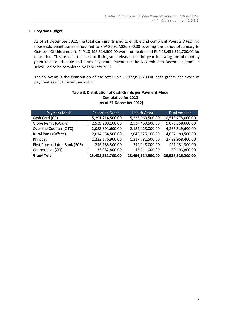## **II. Program Budget**

As of 31 December 2012, the total cash grants paid to eligible and compliant *Pantawid Pamilya* household beneficiaries amounted to PhP 26,927,826,200.00 covering the period of January to October. Of this amount, PhP 13,496,514,500.00 were for health and PhP 13,431,311,700.00 for education. This reflects the first to fifth grant releases for the year following the bi-monthly grant release schedule and Retro Payments. Payout for the November to December grants is scheduled to be completed by February 2013.

The following is the distribution of the total PhP 26,927,826,200.00 cash grants per mode of payment as of 31 December 2012:

| Payment Mode                  | <b>Education Grant</b> | <b>Health Grant</b> | <b>Total Amount</b> |  |
|-------------------------------|------------------------|---------------------|---------------------|--|
| Cash Card (CC)                | 5,291,214,500.00       | 5,228,060,500.00    | 10,519,275,000.00   |  |
| Globe Remit (GCash)           | 2,539,298,100.00       | 2,534,460,500.00    | 5,073,758,600.00    |  |
| Over the Counter (OTC)        | 2,083,891,600.00       | 2,182,428,000.00    | 4,266,319,600.00    |  |
| Rural Bank (Offsite)          | 2,014,564,500.00       | 2,042,625,000.00    | 4,057,189,500.00    |  |
| Philpost                      | 1,222,176,900.00       | 1,217,781,500.00    | 2,439,958,400.00    |  |
| First Consolidated Bank (FCB) | 246,183,300.00         | 244,948,000.00      | 491,131,300.00      |  |
| Cooperative (CFI)             | 33,982,800.00          | 46,211,000.00       | 80,193,800.00       |  |
| <b>Grand Total</b>            | 13,431,311,700.00      | 13,496,514,500.00   | 26,927,826,200.00   |  |

## **Table 3: Distribution of Cash Grants per Payment Mode Cumulative for 2012 (As of 31 December 2012)**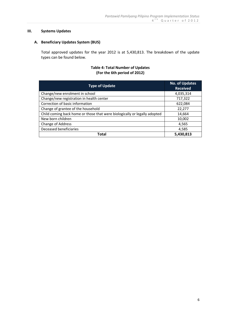## **III. Systems Updates**

## **A. Beneficiary Updates System (BUS)**

Total approved updates for the year 2012 is at 5,430,813. The breakdown of the update types can be found below.

## **Table 4: Total Number of Updates (For the 6th period of 2012)**

| <b>Type of Update</b>                                                     | <b>No. of Updates</b><br><b>Received</b> |
|---------------------------------------------------------------------------|------------------------------------------|
| Change/new enrolment in school                                            | 4,035,314                                |
| Change/new registration in health center                                  | 717,322                                  |
| Correction of basic information                                           | 622,084                                  |
| Change of grantee of the household                                        | 22,277                                   |
| Child coming back home or those that were biologically or legally adopted | 14,664                                   |
| New born children                                                         | 10,002                                   |
| Change of Address                                                         | 4,565                                    |
| Deceased beneficiaries                                                    | 4,585                                    |
| <b>Total</b>                                                              | 5,430,813                                |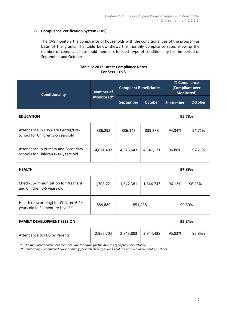# **B. Compliance Verification System (CVS)**

The CVS monitors the compliance of households with the conditionalities of the program as basis of the grants. The table below shows the monthly compliance rates showing the number of compliant household members for each type of conditionality for the period of September and October.

## **Table 5: 2012 Latest Compliance Rates For Sets 1 to 5**

| <b>Conditionality</b>                                                      | <b>Number of</b> | <b>Compliant Beneficiaries</b> |                | % Compliance<br>(Compliant over<br><b>Monitored)</b> |                |  |
|----------------------------------------------------------------------------|------------------|--------------------------------|----------------|------------------------------------------------------|----------------|--|
|                                                                            | Monitored*       | September                      | <b>October</b> | September                                            | <b>October</b> |  |
| <b>EDUCATION</b>                                                           |                  |                                |                |                                                      | 95.78%         |  |
| Attendance in Day Care Center/Pre-<br>School for Children 3-5 years old    | 886,293          | 836,145                        | 839,388        | 94.34%                                               | 94.71%         |  |
| Attendance in Primary and Secondary<br>Schools for Children 6-14 years old | 4,671,492        | 4,525,643                      | 4,541,121      | 96.88%                                               | 97.21%         |  |
| <b>HEALTH</b>                                                              |                  |                                |                |                                                      | 97.89%         |  |
| Check-up/immunization for Pregnant<br>and Children 0-5 years old           | 1,708,721        | 1,642,381                      | 1,644,747      | 96.12%                                               | 96.26%         |  |
| Health (deworming) for Children 6-14<br>years old in Elementary Level**    | 854,889          | 99.60%<br>851,438              |                |                                                      |                |  |
| <b>FAMILY DEVELOPMENT SESSION</b>                                          |                  |                                | 95.84%         |                                                      |                |  |
| Attendance to FDS by Parents                                               | 2,967,704        | 2,843,883                      | 2,844,438      | 95.83%                                               | 95.85%         |  |

 **\*** *The monitored household members are the same for the months of September-October.*

 **\*\*** *Deworming is conducted twice annually for each child ages 6-14 that are enrolled in elementary school.*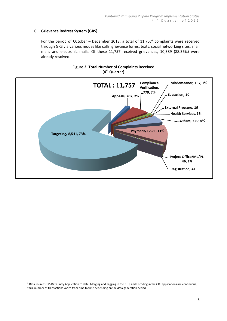# **C. Grievance Redress System (GRS)**

For the period of October – December 2013, a total of  $11,757^5$  complaints were received through GRS via various modes like calls, grievance forms, texts, social networking sites, snail mails and electronic mails. Of these 11,757 received grievances, 10,389 (88.36%) were already resolved.



**Figure 2: Total Number of Complaints Received (4 th Quarter)**

<u>.</u>

<sup>&</sup>lt;sup>5</sup> Data Source: GRS Data Entry Application to date. Merging and Tagging in the PTH, and Encoding in the GRS applications are continuous, thus, number of transactions varies from time to time depending on the data generation period.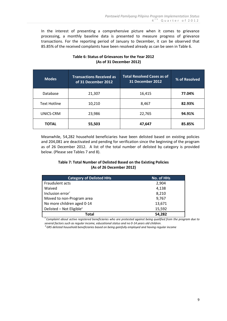In the interest of presenting a comprehensive picture when it comes to grievance processing, a monthly baseline data is presented to measure progress of grievance transactions. For the reporting period of January to December, it can be observed that 85.85% of the received complaints have been resolved already as can be seen in Table 6.

| <b>Modes</b>        | <b>Transactions Received as</b><br>of 31 December 2012 | <b>Total Resolved Cases as of</b><br>31 December 2012 | % of Resolved |
|---------------------|--------------------------------------------------------|-------------------------------------------------------|---------------|
| Database            | 21,307                                                 | 16,415                                                | 77.04%        |
| <b>Text Hotline</b> | 10,210                                                 | 8,467                                                 | 82.93%        |
| UNICS-CRM           | 23,986                                                 | 22,765                                                | 94.91%        |
| <b>TOTAL</b>        | 55,503                                                 | 47,647                                                | 85.85%        |

# **Table 6: Status of Grievances for the Year 2012 (As of 31 December 2012)**

Meanwhile, 54,282 household beneficiaries have been delisted based on existing policies and 204,081 are deactivated and pending for verification since the beginning of the program as of 26 December 2012. A list of the total number of delisted by category is provided below. (Please see Tables 7 and 8).

# **Table 7: Total Number of Delisted Based on the Existing Policies (As of 26 December 2012)**

| <b>Category of Delisted HHs</b>      | No. of HHs |
|--------------------------------------|------------|
| Fraudulent acts                      | 2,904      |
| Waived                               | 4,138      |
| Inclusion error <sup>7</sup>         | 8,210      |
| Moved to non-Program area            | 9,767      |
| No more children aged 0-14           | 13,671     |
| Delisted - Not Eligible <sup>8</sup> | 15,592     |
| Total                                | 54,282     |

*7 Complaint about active registered beneficiaries who are protested against being qualified from the program due to several factors such as regular income, educational status and no 0-14 years old children.*

*<sup>8</sup>GRS delisted household beneficiaries based on being gainfully employed and having regular income*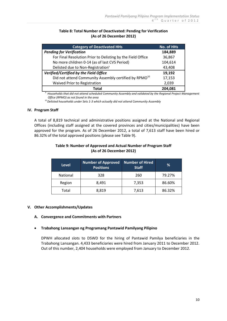## **Table 8: Total Number of Deactivated: Pending for Verification (As of 26 December 2012)**

| <b>Category of Deactivated HHs</b>                                | <b>No. of HHs</b> |
|-------------------------------------------------------------------|-------------------|
| <b>Pending for Verification</b>                                   | 184,889           |
| For Final Resolution Prior to Delisting by the Field Office       | 36,867            |
| No more children 0-14 (as of last CVS Period)                     | 104,614           |
| Delisted due to Non-Registration <sup>9</sup>                     | 43,408            |
| Verified/Certified by the Field Office                            | 19,192            |
| Did not attend Community Assembly certified by RPMO <sup>10</sup> | 17,153            |
| Waived Prior to Registration                                      | 2,039             |
| Total                                                             | 204.081           |

*<sup>9</sup>Households that did not attend scheduled Community Assembly and validated by the Regional Project Management Office (RPMO) as not found in the area*

 *<sup>10</sup>Delisted households under Sets 1-3 which actually did not attend Community Assembly*

## **IV. Program Staff**

A total of 8,819 technical and administrative positions assigned at the National and Regional Offices (including staff assigned at the covered provinces and cities/municipalities) have been approved for the program. As of 26 December 2012, a total of 7,613 staff have been hired or 86.32% of the total approved positions (please see Table 9).

| <b>Level</b>    | <b>Number of Approved</b><br><b>Positions</b> | Number of Hired<br><b>Staff</b> | %      |
|-----------------|-----------------------------------------------|---------------------------------|--------|
| <b>National</b> | 328                                           | 260                             | 79.27% |
| Region          | 8,491                                         | 7,353                           | 86.60% |
| Total           | 8,819                                         | 7,613                           | 86.32% |

## **Table 9: Number of Approved and Actual Number of Program Staff (As of 26 December 2012)**

## **V. Other Accomplishments/Updates**

#### **A. Convergence and Commitments with Partners**

#### **Trabahong Lansangan ng Programang Pantawid Pamilyang Pilipino**

DPWH allocated slots to DSWD for the hiring of Pantawid Pamilya beneficiaries in the Trabahong Lansangan. 4,433 beneficiaries were hired from January 2011 to December 2012. Out of this number, 2,404 households were employed from January to December 2012.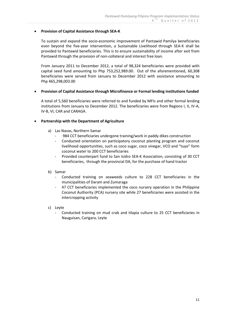## **Provision of Capital Assistance through SEA-K**

To sustain and expand the socio-economic improvement of Pantawid Pamilya beneficiaries even beyond the five-year intervention, a Sustainable Livelihood through SEA-K shall be provided to Pantawid beneficiaries. This is to ensure sustainability of income after exit from Pantawid through the provision of non-collateral and interest free loan.

From January 2011 to December 2012, a total of 98,324 beneficiaries were provided with capital seed fund amounting to Php 753,252,989.00. Out of the aforementioned, 60,308 beneficiaries were served from January to December 2012 with assistance amounting to Php 465,298,003.00

## **Provision of Capital Assistance through Microfinance or Formal lending institutions funded**

A total of 5,560 beneficiaries were referred to and funded by MFIs and other formal lending institutions from January to December 2012. The beneficiaries were from Regions I, II, IV-A, IV-B, VI, CAR and CARAGA.

## **Partnership with the Department of Agriculture**

- a) Las Navas, Northern Samar
	- 984 CCT beneficiaries undergone training/work in paddy dikes construction
	- Conducted orientation on participatory coconut planting program and coconut livelihood opportunities, such as coco sugar, coco vinegar, VCO and "tuyo" form coconut water to 200 CCT beneficiaries
	- Provided counterpart fund to San Isidro SEA-K Association, consisting of 30 CCT beneficiaries, through the provincial DA, for the purchase of hand tractor
- b) Samar
	- Conducted training on seaweeds culture to 228 CCT beneficiaries in the municipalities of Daram and Zumaraga
	- 47 CCT beneficiaries implemented the coco nursery operation in the Philippine Coconut Authority (PCA) nursery site while 27 beneficiaries were assisted in the intercropping activity
- c) Leyte
	- Conducted training on mud crab and tilapia culture to 25 CCT beneficiaries in Nauguisan, Carigara, Leyte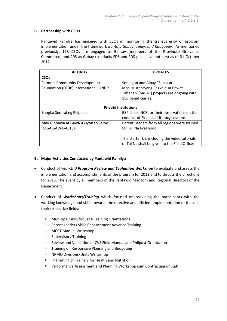## **B. Partnership with CSOs**

Pantawid Pamilya has engaged with CSOs in monitoring the transparency of program implementation under the framework *Bantay, Gabay, Tulay, and Kaagapay.* As mentioned previously, 178 CSOs are engaged as Bantay (members of the Provincial Grievance Committee) and 205 as Gabay (conducts FDS and FDS plus as volunteers) as of 31 October 2012.

| <b>ACTIVITY</b>                       | <b>UPDATES</b>                                 |  |
|---------------------------------------|------------------------------------------------|--|
| <b>CSO<sub>s</sub></b>                |                                                |  |
| <b>Farmers Community Development</b>  | Sorsogon and Albay "Sapat at                   |  |
| Foundation (FCDP) International, UNDP | Masusustansyang Pagkain sa Bawat               |  |
|                                       | Tahanan" (SAPAT) projects are ongoing with     |  |
|                                       | 150 beneficiaries.                             |  |
|                                       |                                                |  |
| <b>Private Institutions</b>           |                                                |  |
| Bangko Sentral ng Pilipinas           | BSP chose NCR for their observations on the    |  |
|                                       | conduct of Financial Literacy sessions.        |  |
| May Ginhawa at Gawa Aksyon to Serve   | Parent Leaders from all regions were trained   |  |
| (MGA GAWA-ACTS)                       | for Tui Na livelihood.                         |  |
|                                       |                                                |  |
|                                       | The starter kit, including the video tutorials |  |
|                                       | of Tui Na shall be given to the Field Offices. |  |

## **B. Major Activities Conducted by Pantawid Pamilya**

- Conduct of *Year-End Program Review and Evaluation Workshop* to evaluate and assess the implementation and accomplishments of the program for 2012 and to discuss the directions for 2013. The event by all members of the Pantawid Mancom and Regional Directors of the Department
- Conduct of *Workshops/Training* which focused on providing the participants with the working knowledge and skills towards the effective and efficient implementation of these in their respective fields:
	- $\Box$  Municipal Links for Set 6 Training Orientations
	- $\Box$  Parent Leaders Skills Enhancement Advance Training
	- □ MCCT Manual Writeshop
	- $\Box$  Supervisory Training
	- Review and Validation of CVS Field Manual and Philpost Orientation
	- $\Box$  Training on Responsive Planning and Budgeting
	- □ NPMO Divisions/Units Writeshop
	- $\Box$  IP Training of Trainers for Health and Nutrition
	- $P$  Performance Assessment and Planning Workshop cum Contracting of Staff